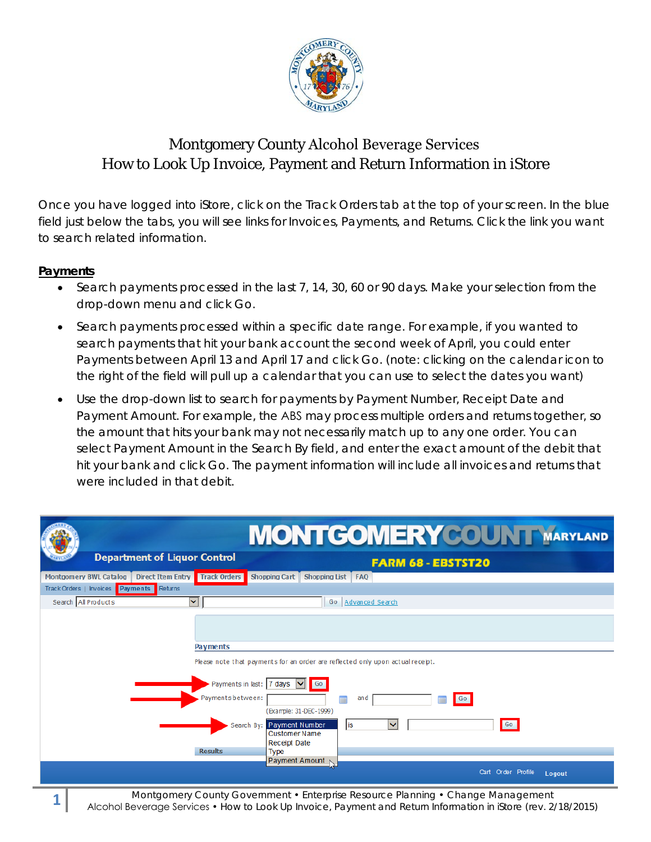

## Montgomery County Alcohol Beverage Services How to Look Up Invoice, Payment and Return Information in iStore

Once you have logged into iStore, click on the Track Orders tab at the top of your screen. In the blue field just below the tabs, you will see links for Invoices, Payments, and Returns. Click the link you want to search related information.

## **Payments**

- Search payments processed in the last 7, 14, 30, 60 or 90 days. Make your selection from the drop-down menu and click Go.
- Search payments processed within a specific date range. For example, if you wanted to search payments that hit your bank account the second week of April, you could enter Payments between April 13 and April 17 and click Go. (note: clicking on the calendar icon to the right of the field will pull up a calendar that you can use to select the dates you want)
- Use the drop-down list to search for payments by Payment Number, Receipt Date and Payment Amount. For example, the ABS may process multiple orders and returns together, so the amount that hits your bank may not necessarily match up to any one order. You can select Payment Amount in the Search By field, and enter the exact amount of the debit that hit your bank and click Go. The payment information will include all invoices and returns that were included in that debit.

|                                    |                                          | <b>MONTGOMERYCOUN T MARYLAND</b>                                                                      |
|------------------------------------|------------------------------------------|-------------------------------------------------------------------------------------------------------|
|                                    | <b>Department of Liquor Control</b>      | <b>FARM 68 - EBSTST20</b>                                                                             |
| <b>Montgomery BWL Catalog</b>      | <b>Track Orders</b><br>Direct Item Entry | <b>Shopping Cart</b><br>Shopping List FAQ                                                             |
| Track Orders   Invoices   Payments | Returns                                  |                                                                                                       |
| Search All Products                | ×                                        | Advanced Search<br>Go                                                                                 |
|                                    | <b>Payments</b>                          | Please note that payments for an order are reflected only upon actual receipt.                        |
|                                    | Payments between:                        | Payments in last:   7 days   v <br><b>Go</b><br>and<br>Go<br>$\blacksquare$<br>(Example: 31-DEC-1999) |
|                                    |                                          | Go<br>Search By: Payment Number<br>$\checkmark$<br>lis<br><b>Customer Name</b><br>Receipt Date        |
|                                    | <b>Results</b>                           | <b>Type</b><br>Payment Amount N                                                                       |
|                                    |                                          | Cart Order Profile<br>Logout                                                                          |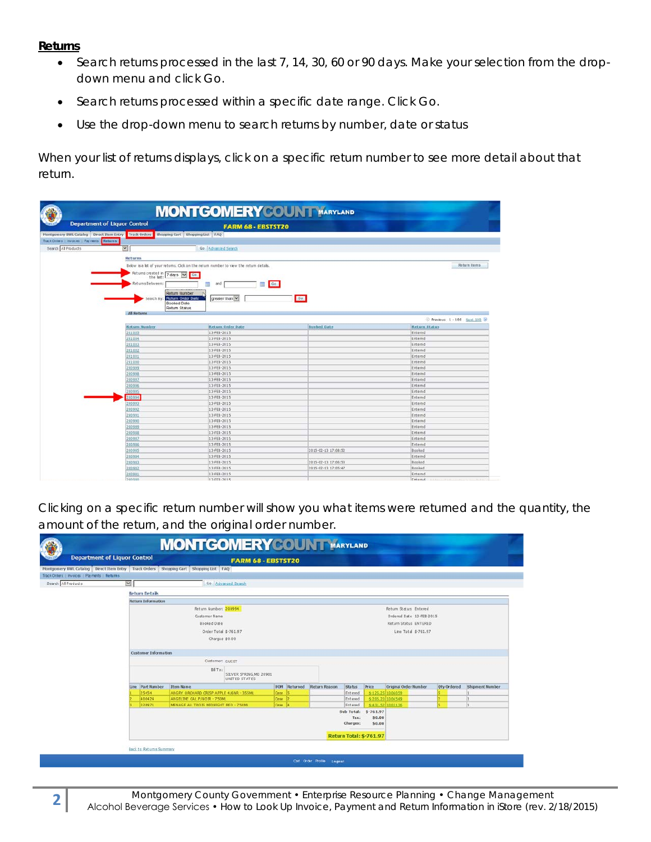## **Returns**

- Search returns processed in the last 7, 14, 30, 60 or 90 days. Make your selection from the dropdown menu and click Go.
- Search returns processed within a specific date range. Click Go.
- Use the drop-down menu to search returns by number, date or status

When your list of returns displays, click on a specific return number to see more detail about that return.

|                                              | <b>Department of Liquor Control</b>                                                   | <b>FARM 68 - EBSTST20</b>                                                               |                     |                           |  |  |  |  |  |  |
|----------------------------------------------|---------------------------------------------------------------------------------------|-----------------------------------------------------------------------------------------|---------------------|---------------------------|--|--|--|--|--|--|
|                                              | Montgomery BWL Catalog Direct Item Entry Track Orders Shopping Cart Shopping List FAQ |                                                                                         |                     |                           |  |  |  |  |  |  |
| Track Orders   Invoices   Payments   Returns |                                                                                       |                                                                                         |                     |                           |  |  |  |  |  |  |
| Search All Products                          | ⊡                                                                                     | Go Advanced Search                                                                      |                     |                           |  |  |  |  |  |  |
|                                              |                                                                                       |                                                                                         |                     |                           |  |  |  |  |  |  |
|                                              |                                                                                       | Returns                                                                                 |                     |                           |  |  |  |  |  |  |
|                                              |                                                                                       | Below is a list of your returns. Click on the return number to view the return details. |                     |                           |  |  |  |  |  |  |
|                                              | Returns created in 7 days V                                                           | GG                                                                                      |                     |                           |  |  |  |  |  |  |
|                                              |                                                                                       | the last:                                                                               |                     |                           |  |  |  |  |  |  |
|                                              | Returns Between:                                                                      | Go  <br>۳<br>鬧<br>and                                                                   |                     |                           |  |  |  |  |  |  |
|                                              | Return Number                                                                         |                                                                                         |                     |                           |  |  |  |  |  |  |
|                                              | Search By:                                                                            | Return Order Date<br>greater than Y                                                     | Go                  |                           |  |  |  |  |  |  |
|                                              | Booked Date                                                                           |                                                                                         |                     |                           |  |  |  |  |  |  |
|                                              | Return Status                                                                         |                                                                                         |                     |                           |  |  |  |  |  |  |
|                                              | <b>All Returns</b>                                                                    |                                                                                         |                     |                           |  |  |  |  |  |  |
|                                              |                                                                                       |                                                                                         |                     | Previous 1-100 Next 100 > |  |  |  |  |  |  |
|                                              | <b>Return Number</b>                                                                  | Return Order Date                                                                       | <b>Booked Date</b>  | <b>Return Status</b>      |  |  |  |  |  |  |
|                                              | 201005                                                                                | 13-FEB-2015                                                                             |                     | Entered                   |  |  |  |  |  |  |
|                                              | 201004                                                                                | 13-FEB-2015                                                                             |                     | Entered                   |  |  |  |  |  |  |
|                                              | 201003                                                                                | 13-FEB-2015                                                                             |                     | Entered                   |  |  |  |  |  |  |
|                                              | 201002                                                                                | 13-FEB-2015                                                                             |                     | Entered                   |  |  |  |  |  |  |
|                                              | 201001                                                                                | 13-FEB-2015                                                                             |                     | Entered                   |  |  |  |  |  |  |
|                                              | 201000                                                                                | 13-FEB-2015                                                                             |                     | Entered                   |  |  |  |  |  |  |
|                                              | 200999                                                                                | 13-FEB-2015                                                                             |                     | Entered                   |  |  |  |  |  |  |
|                                              |                                                                                       |                                                                                         |                     |                           |  |  |  |  |  |  |
|                                              | 200998                                                                                | 13-FEB-2015                                                                             |                     | Entered                   |  |  |  |  |  |  |
|                                              | 200997                                                                                | 13-FEB-2015                                                                             |                     | Entered                   |  |  |  |  |  |  |
|                                              | 200996                                                                                | 13-FEB-2015                                                                             |                     | Entered                   |  |  |  |  |  |  |
|                                              | 200995                                                                                | 13-FEB-2015                                                                             |                     | Entered                   |  |  |  |  |  |  |
|                                              | 200994                                                                                | 13-FEB-2015                                                                             |                     | Entered                   |  |  |  |  |  |  |
|                                              | 200993                                                                                | 13-FEB-2015                                                                             |                     | Entered                   |  |  |  |  |  |  |
|                                              | 200992                                                                                | 13 FEB-2015                                                                             |                     | Entered                   |  |  |  |  |  |  |
|                                              | 200991                                                                                | 13-FEB-2015                                                                             |                     | Entered                   |  |  |  |  |  |  |
|                                              | 200990                                                                                | 13-FEB-2015                                                                             |                     | Entered                   |  |  |  |  |  |  |
|                                              | 200989                                                                                | 13-FEB-2015                                                                             |                     | Entered                   |  |  |  |  |  |  |
|                                              | 200918                                                                                | 13-FEB-2015                                                                             |                     | Entered                   |  |  |  |  |  |  |
|                                              | 200987                                                                                | 13 FEB-2015                                                                             |                     | Entered                   |  |  |  |  |  |  |
|                                              | 200986                                                                                | 13-FEB-2015                                                                             |                     | Entered                   |  |  |  |  |  |  |
|                                              | 200985                                                                                | 13-FEB-2015                                                                             | 2015-02-13 17:08:52 | Booked                    |  |  |  |  |  |  |
|                                              | 200904                                                                                | 13 FEB-2015                                                                             |                     | Entered                   |  |  |  |  |  |  |
|                                              | 200983                                                                                | 13-FEB-2015                                                                             | 2015-02-13 17:06:53 | Booked                    |  |  |  |  |  |  |
|                                              | 200982<br>200981                                                                      | 13 FEB-2015<br>13-FEB-2015                                                              | 2015-02-13 17:05:47 | Booked<br>Entered         |  |  |  |  |  |  |

Clicking on a specific return number will show you what items were returned and the quantity, the amount of the return, and the original order number.

|                     | <b>Department of Liquor Control</b>          |                                                                                                                    |                           |                                                                        |                                          |                          |              |                       |                      |          |                      |                                       |                       |             |                 |
|---------------------|----------------------------------------------|--------------------------------------------------------------------------------------------------------------------|---------------------------|------------------------------------------------------------------------|------------------------------------------|--------------------------|--------------|-----------------------|----------------------|----------|----------------------|---------------------------------------|-----------------------|-------------|-----------------|
|                     |                                              | <b>FARM 68 - EBSTST20</b><br>Montgomery BWL Catalog Direct Item Entry Track Orders Shopping Cart Shopping List FAQ |                           |                                                                        |                                          |                          |              |                       |                      |          |                      |                                       |                       |             |                 |
|                     | Track Orders   Invoices   Payments   Returns |                                                                                                                    |                           |                                                                        |                                          |                          |              |                       |                      |          |                      |                                       |                       |             |                 |
| Search All Products |                                              | $\overline{\mathbf{z}}$                                                                                            |                           |                                                                        | Go Advanced Search                       |                          |              |                       |                      |          |                      |                                       |                       |             |                 |
|                     |                                              |                                                                                                                    | <b>Return Details</b>     |                                                                        |                                          |                          |              |                       |                      |          |                      |                                       |                       |             |                 |
|                     |                                              |                                                                                                                    | <b>Return Information</b> |                                                                        |                                          |                          |              |                       |                      |          |                      |                                       |                       |             |                 |
|                     |                                              | Return Number: 200994                                                                                              |                           |                                                                        |                                          | Return Status: Entered   |              |                       |                      |          |                      |                                       |                       |             |                 |
|                     |                                              | Customer Name                                                                                                      |                           |                                                                        |                                          | Ordered Date 13-FEB-2015 |              |                       |                      |          |                      |                                       |                       |             |                 |
|                     |                                              | Booked Date                                                                                                        |                           |                                                                        |                                          |                          |              | Return Status ENTERED |                      |          |                      |                                       |                       |             |                 |
|                     |                                              |                                                                                                                    |                           | Order Total \$-761.97                                                  |                                          |                          |              |                       | Line Total \$-761.97 |          |                      |                                       |                       |             |                 |
|                     |                                              | Charges \$0.00                                                                                                     |                           |                                                                        |                                          |                          |              |                       |                      |          |                      |                                       |                       |             |                 |
|                     |                                              |                                                                                                                    | Customer Information      |                                                                        |                                          |                          |              |                       |                      |          |                      |                                       |                       |             |                 |
|                     |                                              |                                                                                                                    |                           | Customer: GUEST                                                        |                                          |                          |              |                       |                      |          |                      |                                       |                       |             |                 |
|                     |                                              |                                                                                                                    |                           |                                                                        |                                          |                          |              |                       |                      |          |                      |                                       |                       |             |                 |
|                     |                                              |                                                                                                                    |                           | BBTo:                                                                  | SILVER SPRING, MD 20901<br>UNITED STATES |                          |              |                       |                      |          |                      |                                       |                       |             |                 |
|                     |                                              |                                                                                                                    | Line Part Number          | Item Name                                                              |                                          |                          | UOM Returned | Return Reason         | Status               |          | Price                |                                       | Original Order Number | Oty Ordered | Shipment Number |
|                     |                                              |                                                                                                                    | 25454<br>400424           | ANGRY ORCHARD CRISP APPLE 4/6NR - 355ML<br>ANGELINE CAL P/NOTR - 750ML |                                          | Case<br>Case 2           |              |                       | Entered<br>Entered   |          |                      | \$-125.25 1006059<br>\$205.20 1004549 |                       |             |                 |
|                     |                                              |                                                                                                                    | 328971                    | MENAGE AU TROIS MIDNIGHT RED - 750ML                                   |                                          | Cose 4                   |              |                       |                      | Entered  |                      | \$431.52 1003136                      |                       |             | h.              |
|                     |                                              |                                                                                                                    |                           |                                                                        |                                          |                          |              |                       |                      |          | Sub Total: \$-761.97 |                                       |                       |             |                 |
|                     |                                              |                                                                                                                    |                           |                                                                        |                                          |                          |              |                       |                      |          | \$0.00               |                                       |                       |             |                 |
|                     |                                              |                                                                                                                    |                           |                                                                        |                                          |                          |              |                       |                      | Tax:     |                      |                                       |                       |             |                 |
|                     |                                              |                                                                                                                    |                           |                                                                        |                                          |                          |              |                       |                      | Charges: | \$8.00               |                                       |                       |             |                 |